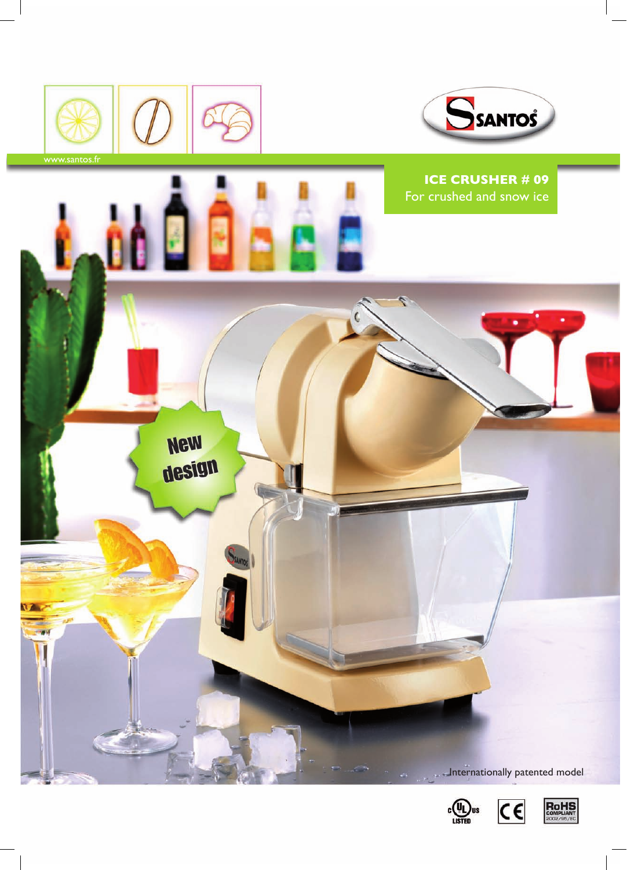



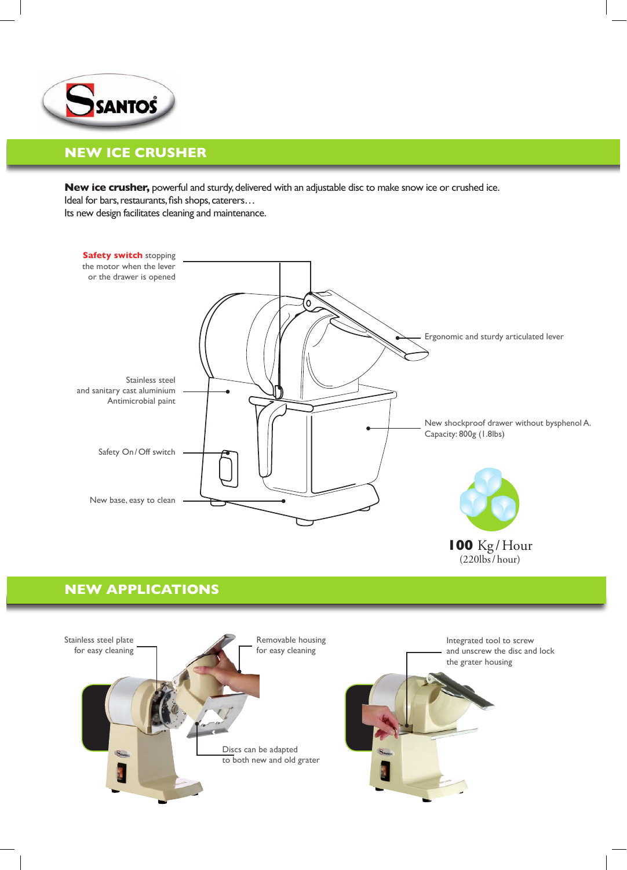

# **New Ice Crusher**

**New ice crusher,** powerful and sturdy, delivered with an adjustable disc to make snow ice or crushed ice. Ideal for bars, restaurants, fish shops, caterers…

Its new design facilitates cleaning and maintenance.



# **new Applications**

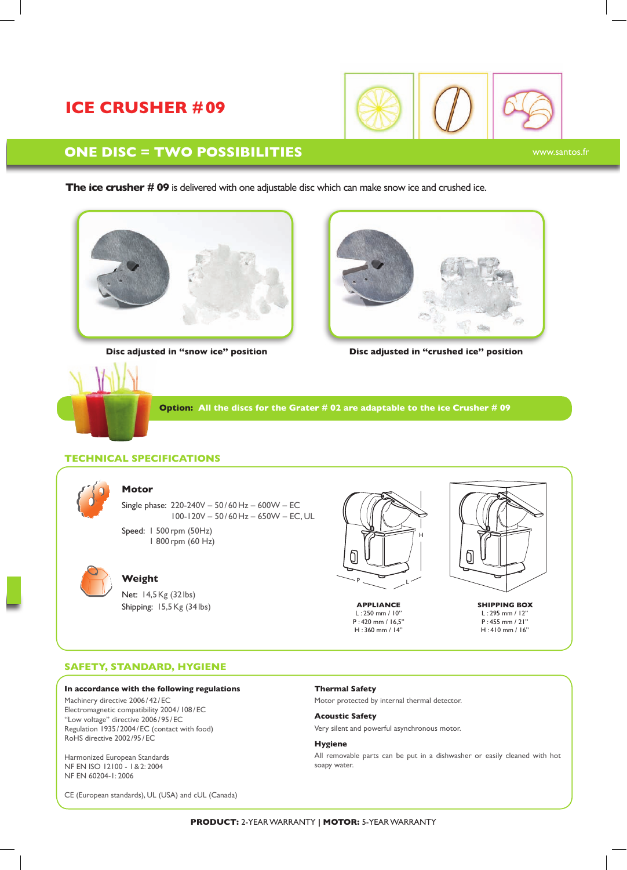# **Ice Crusher #09**



### **One disc = two possibilities**

**The ice crusher # 09** is delivered with one adjustable disc which can make snow ice and crushed ice.



**Disc adjusted in ''snow ice'' position**



**Disc adjusted in ''crushed ice'' position**

**Option: All the discs for the Grater # 02 are adaptable to the ice Crusher # 09**

### **Technical specifications**



#### **Motor**

Single phase: 220-240V – 50/ 60Hz – 600W – EC 100-120V – 50/ 60Hz – 650W – EC, UL Speed: 1 500rpm (50Hz)

1 800 rpm (60 Hz)



### **Weight**

Net: 14,5Kg (32lbs) Shipping: 15,5Kg (34 lbs)



**APPLIANCE SHIPPING BOX** L : 250 mm / 10'' P : 420 mm / 16,5'' H : 360 mm / 14''

Ò

L : 295 mm / 12'' P : 455 mm / 21'' H : 410 mm / 16''

#### **SAFETY, STANDARD, HYGIENE**

#### **In accordance with the following regulations**

Machinery directive 2006/42/EC Electromagnetic compatibility 2004/108/EC ''Low voltage'' directive 2006/ 95/ EC Regulation 1935/ 2004 /EC (contact with food) RoHS directive 2002/95 / EC

Harmonized European Standards NF EN ISO 12100 - 1&2: 2004 NF EN 60204-1: 2006

CE (European standards), UL (USA) and cUL (Canada)

**Thermal Safety**

Motor protected by internal thermal detector.

**Acoustic Safety** Very silent and powerful asynchronous motor.

**Hygiene** All removable parts can be put in a dishwasher or easily cleaned with hot soapy water.